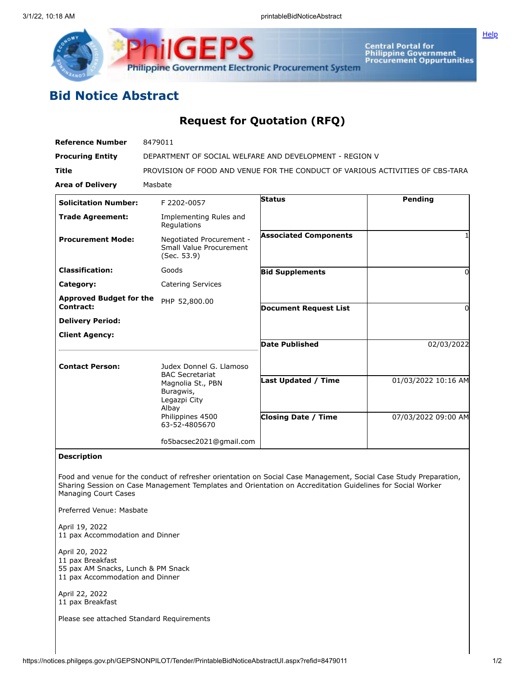



Central Portal for<br>Philippine Government<br>Procurement Oppurtunities

## **Bid Notice Abstract**

## **Request for Quotation (RFQ)**

| <b>Reference Number</b>                     | 8479011                                                                       |                              |                     |
|---------------------------------------------|-------------------------------------------------------------------------------|------------------------------|---------------------|
| <b>Procuring Entity</b>                     | DEPARTMENT OF SOCIAL WELFARE AND DEVELOPMENT - REGION V                       |                              |                     |
| <b>Title</b>                                | PROVISION OF FOOD AND VENUE FOR THE CONDUCT OF VARIOUS ACTIVITIES OF CBS-TARA |                              |                     |
| <b>Area of Delivery</b>                     | Masbate                                                                       |                              |                     |
| <b>Solicitation Number:</b>                 | F 2202-0057                                                                   | <b>Status</b>                | Pending             |
| <b>Trade Agreement:</b>                     | Implementing Rules and<br>Regulations                                         |                              |                     |
| <b>Procurement Mode:</b>                    | Negotiated Procurement -<br>Small Value Procurement<br>(Sec. 53.9)            | <b>Associated Components</b> |                     |
| <b>Classification:</b>                      | Goods                                                                         | <b>Bid Supplements</b>       | 0                   |
| Category:                                   | <b>Catering Services</b>                                                      |                              |                     |
| <b>Approved Budget for the</b><br>Contract: | PHP 52,800.00                                                                 | <b>Document Request List</b> | O                   |
| <b>Delivery Period:</b>                     |                                                                               |                              |                     |
| <b>Client Agency:</b>                       |                                                                               | Date Published               | 02/03/2022          |
| <b>Contact Person:</b>                      | Judex Donnel G. Llamoso<br><b>BAC Secretariat</b>                             |                              |                     |
|                                             | Magnolia St., PBN<br>Buragwis,<br>Legazpi City<br>Albay                       | Last Updated / Time          | 01/03/2022 10:16 AM |
|                                             | Philippines 4500<br>63-52-4805670                                             | <b>Closing Date / Time</b>   | 07/03/2022 09:00 AM |
|                                             | fo5bacsec2021@gmail.com                                                       |                              |                     |
| <b>Description</b>                          |                                                                               |                              |                     |

Food and venue for the conduct of refresher orientation on Social Case Management, Social Case Study Preparation, Sharing Session on Case Management Templates and Orientation on Accreditation Guidelines for Social Worker Managing Court Cases

Preferred Venue: Masbate

April 19, 2022 11 pax Accommodation and Dinner

April 20, 2022 pax Breakfast pax AM Snacks, Lunch & PM Snack pax Accommodation and Dinner

April 22, 2022 11 pax Breakfast

Please see attached Standard Requirements